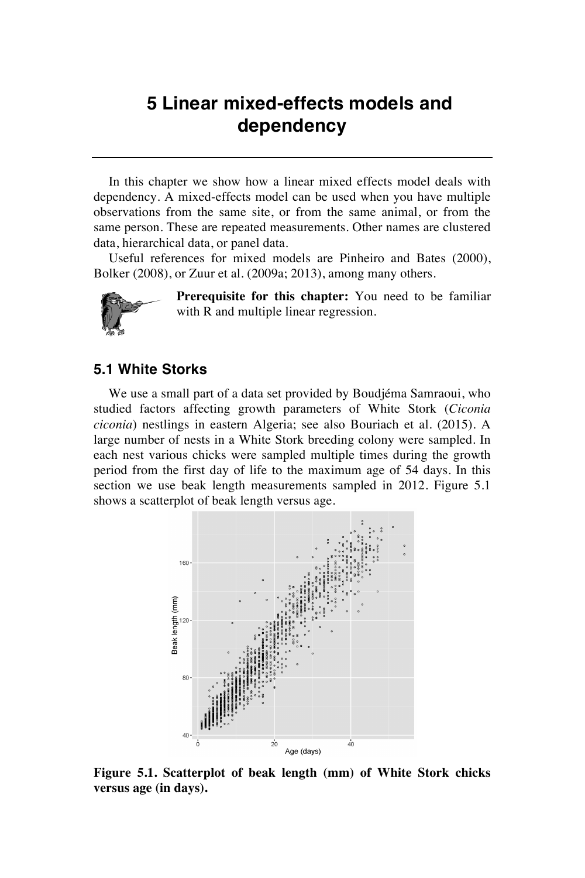## **5 Linear mixed-effects models and dependency**

In this chapter we show how a linear mixed effects model deals with dependency. A mixed-effects model can be used when you have multiple observations from the same site, or from the same animal, or from the same person. These are repeated measurements. Other names are clustered data, hierarchical data, or panel data.

Useful references for mixed models are Pinheiro and Bates (2000), Bolker (2008), or Zuur et al. (2009a; 2013), among many others.



**Prerequisite for this chapter:** You need to be familiar with R and multiple linear regression.

## **5.1 White Storks**

We use a small part of a data set provided by Boudjéma Samraoui, who studied factors affecting growth parameters of White Stork (*Ciconia ciconia*) nestlings in eastern Algeria; see also Bouriach et al. (2015). A large number of nests in a White Stork breeding colony were sampled. In each nest various chicks were sampled multiple times during the growth period from the first day of life to the maximum age of 54 days. In this section we use beak length measurements sampled in 2012. Figure 5.1 shows a scatterplot of beak length versus age.



**Figure 5.1. Scatterplot of beak length (mm) of White Stork chicks versus age (in days).**